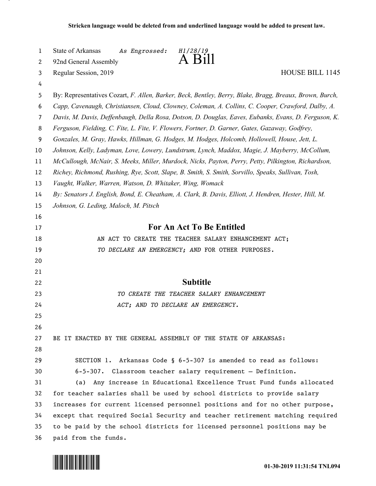| 1        | State of Arkansas<br>As Engrossed:<br>H1/28/19<br>- B111                                                 |  |  |  |
|----------|----------------------------------------------------------------------------------------------------------|--|--|--|
| 2        | 92nd General Assembly                                                                                    |  |  |  |
| 3        | <b>HOUSE BILL 1145</b><br>Regular Session, 2019                                                          |  |  |  |
| 4        |                                                                                                          |  |  |  |
| 5        | By: Representatives Cozart, F. Allen, Barker, Beck, Bentley, Berry, Blake, Bragg, Breaux, Brown, Burch,  |  |  |  |
| 6        | Capp, Cavenaugh, Christiansen, Cloud, Clowney, Coleman, A. Collins, C. Cooper, Crawford, Dalby, A.       |  |  |  |
| 7        | Davis, M. Davis, Deffenbaugh, Della Rosa, Dotson, D. Douglas, Eaves, Eubanks, Evans, D. Ferguson, K.     |  |  |  |
| 8        | Ferguson, Fielding, C. Fite, L. Fite, V. Flowers, Fortner, D. Garner, Gates, Gazaway, Godfrey,           |  |  |  |
| 9        | Gonzales, M. Gray, Hawks, Hillman, G. Hodges, M. Hodges, Holcomb, Hollowell, House, Jett, L.             |  |  |  |
| 10       | Johnson, Kelly, Ladyman, Love, Lowery, Lundstrum, Lynch, Maddox, Magie, J. Mayberry, McCollum,           |  |  |  |
| 11       | McCullough, McNair, S. Meeks, Miller, Murdock, Nicks, Payton, Perry, Petty, Pilkington, Richardson,      |  |  |  |
| 12       | Richey, Richmond, Rushing, Rye, Scott, Slape, B. Smith, S. Smith, Sorvillo, Speaks, Sullivan, Tosh,      |  |  |  |
| 13       | Vaught, Walker, Warren, Watson, D. Whitaker, Wing, Womack                                                |  |  |  |
| 14       | By: Senators J. English, Bond, E. Cheatham, A. Clark, B. Davis, Elliott, J. Hendren, Hester, Hill, M.    |  |  |  |
| 15       | Johnson, G. Leding, Maloch, M. Pitsch                                                                    |  |  |  |
| 16<br>17 | For An Act To Be Entitled                                                                                |  |  |  |
| 18       |                                                                                                          |  |  |  |
| 19       | AN ACT TO CREATE THE TEACHER SALARY ENHANCEMENT ACT;<br>TO DECLARE AN EMERGENCY; AND FOR OTHER PURPOSES. |  |  |  |
| 20       |                                                                                                          |  |  |  |
| 21       |                                                                                                          |  |  |  |
| 22       | <b>Subtitle</b>                                                                                          |  |  |  |
| 23       | TO CREATE THE TEACHER SALARY ENHANCEMENT                                                                 |  |  |  |
| 24       | ACT; AND TO DECLARE AN EMERGENCY.                                                                        |  |  |  |
| 25       |                                                                                                          |  |  |  |
| 26       |                                                                                                          |  |  |  |
| 27       | BE IT ENACTED BY THE GENERAL ASSEMBLY OF THE STATE OF ARKANSAS:                                          |  |  |  |
| 28       |                                                                                                          |  |  |  |
| 29       | SECTION 1. Arkansas Code § 6-5-307 is amended to read as follows:                                        |  |  |  |
| 30       | 6-5-307. Classroom teacher salary requirement - Definition.                                              |  |  |  |
| 31       | Any increase in Educational Excellence Trust Fund funds allocated<br>(a)                                 |  |  |  |
| 32       | for teacher salaries shall be used by school districts to provide salary                                 |  |  |  |
| 33       | increases for current licensed personnel positions and for no other purpose,                             |  |  |  |
| 34       | except that required Social Security and teacher retirement matching required                            |  |  |  |
| 35       | to be paid by the school districts for licensed personnel positions may be                               |  |  |  |
| 36       | paid from the funds.                                                                                     |  |  |  |

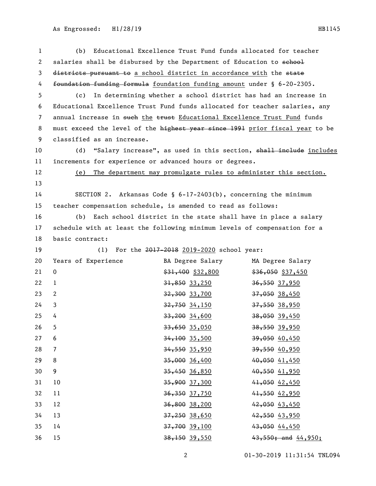| $\mathbf{1}$   | Educational Excellence Trust Fund funds allocated for teacher<br>(b)         |                                                                 |                                                                    |
|----------------|------------------------------------------------------------------------------|-----------------------------------------------------------------|--------------------------------------------------------------------|
| 2              | salaries shall be disbursed by the Department of Education to school         |                                                                 |                                                                    |
| 3              | districts pursuant to a school district in accordance with the state         |                                                                 |                                                                    |
| 4              | foundation funding formula foundation funding amount under § 6-20-2305.      |                                                                 |                                                                    |
| 5              | (c)                                                                          |                                                                 | In determining whether a school district has had an increase in    |
| 6              | Educational Excellence Trust Fund funds allocated for teacher salaries, any  |                                                                 |                                                                    |
| $\overline{7}$ | annual increase in such the trust Educational Excellence Trust Fund funds    |                                                                 |                                                                    |
| 8              | must exceed the level of the highest year since 1991 prior fiscal year to be |                                                                 |                                                                    |
| 9              | classified as an increase.                                                   |                                                                 |                                                                    |
| 10             | (d)                                                                          |                                                                 | "Salary increase", as used in this section, shall inelude includes |
| 11             | increments for experience or advanced hours or degrees.                      |                                                                 |                                                                    |
| 12             | The department may promulgate rules to administer this section.<br>(e)       |                                                                 |                                                                    |
| 13             |                                                                              |                                                                 |                                                                    |
| 14             |                                                                              | SECTION 2. Arkansas Code § 6-17-2403(b), concerning the minimum |                                                                    |
| 15             | teacher compensation schedule, is amended to read as follows:                |                                                                 |                                                                    |
| 16             | Each school district in the state shall have in place a salary<br>(b)        |                                                                 |                                                                    |
| 17             | schedule with at least the following minimum levels of compensation for a    |                                                                 |                                                                    |
| 18             | basic contract:                                                              |                                                                 |                                                                    |
| 19             | (1)                                                                          | For the 2017-2018 2019-2020 school year:                        |                                                                    |
| 20             | Years of Experience                                                          | BA Degree Salary                                                | MA Degree Salary                                                   |
| 21             | $\mathbf 0$                                                                  | $$31,400$ $$32,800$                                             | $$36,050$ \$37,450                                                 |
| 22             | $\mathbf{1}$                                                                 | $31,850$ 33,250                                                 | 36,550 37,950                                                      |
| 23             | 2                                                                            | <del>32,300</del> 33,700                                        | 37,050 38,450                                                      |
| 24             | 3                                                                            | 32,750 34,150                                                   | 37,550 38,950                                                      |
| 25             | 4                                                                            | $33,200$ 34,600                                                 | 38,050 39,450                                                      |
| 26             | 5                                                                            | $33,650$ 35,050                                                 | 38,550 39,950                                                      |
| 27             | 6                                                                            | $34,100$ 35,500                                                 | 39,050 40,450                                                      |
| 28             | $\overline{7}$                                                               | 34,550 35,950                                                   | 39,550 40,950                                                      |
| 29             | 8                                                                            | $35,000$ 36,400                                                 | 40,050 41,450                                                      |
| 30             | 9                                                                            | 35,450 36,850                                                   | 40,550 41,950                                                      |
| 31             | 10                                                                           | 35,900 37,300                                                   | 41,050 42,450                                                      |
| 32             | 11                                                                           | 36,350 37,750                                                   | 41,550 42,950                                                      |
| 33             | 12                                                                           | 36,800 38,200                                                   | 42,050 43,450                                                      |
| 34             | 13                                                                           | $37,250$ $38,650$                                               | 42,550 43,950                                                      |
| 35             | 14                                                                           | 37,700 39,100                                                   | 43,050 44,450                                                      |
| 36             | 15                                                                           | 38,150 39,550                                                   | $43,550$ ; and $44,950$ ;                                          |

01-30-2019 11:31:54 TNL094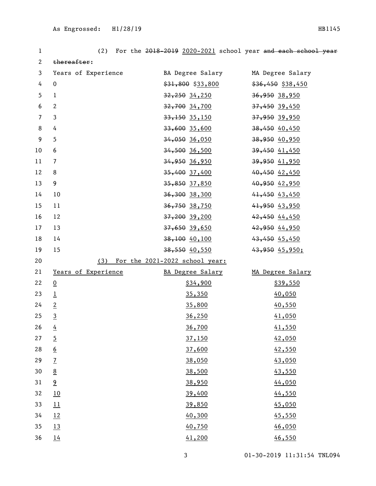| 1                | (2)                 |                                    | For the 2018-2019 2020-2021 school year and each school year |
|------------------|---------------------|------------------------------------|--------------------------------------------------------------|
| $\mathbf{2}$     | thereafter:         |                                    |                                                              |
| $\mathbf{3}$     | Years of Experience | BA Degree Salary MA Degree Salary  |                                                              |
| 4                | $\mathbf 0$         | $$31,800$ $$33,800$                | $$36,450$ \$38,450                                           |
| 5                | $\mathbf{1}$        | <del>32,250</del> 34,250           | 36,950 38,950                                                |
| 6                | $\mathbf{2}$        | <del>32,700</del> 34,700           | 37,450 39,450                                                |
| $\overline{7}$   | $\mathbf{3}$        | <del>33,150</del> 35,150           | 37,950 39,950                                                |
| $\,8\,$          | 4                   | 33,600 35,600                      | 38,450 40,450                                                |
| $\boldsymbol{9}$ | 5                   | <del>34,050</del> 36,050           | 38,950 40,950                                                |
| $10\,$           | 6                   | <del>34,500</del> 36,500           | $39,450$ $41,450$                                            |
| 11               | $\overline{7}$      | <del>34,950</del> 36,950           | 39,950 41,950                                                |
| 12               | 8                   | <del>35,400</del> 37,400           | 40,450 42,450                                                |
| 13               | 9                   | <del>35,850</del> 37,850           | 40,950 42,950                                                |
| 14               | 10                  | <del>36,300</del> 38,300           | $41,450$ $43,450$                                            |
| 15               | 11                  | <del>36,750</del> 38,750           | 41,950 43,950                                                |
| 16               | 12                  | 37,200 39,200                      | 42,450 44,450                                                |
| 17               | 13                  | <del>37,650</del> 39,650           | 42,950 44,950                                                |
| 18               | 14                  | $38,100$ $40,100$                  | 43,450 45,450                                                |
| 19               | 15                  | <del>38,550</del> 40,550           | 43,950 45,950;                                               |
| 20               |                     | (3) For the 2021-2022 school year: |                                                              |
| 21               | Years of Experience | BA Degree Salary                   | MA Degree Salary                                             |
| 22               | $\overline{0}$      | \$34,900                           | \$39,550                                                     |
| 23               | $\overline{1}$      | 35,350                             | 40,050                                                       |
| 24               | $\overline{2}$      | 35,800                             | 40,550                                                       |
| 25               | $\overline{3}$      | 36,250                             | 41,050                                                       |
| 26               | $\overline{4}$      | 36,700                             | 41,550                                                       |
| 27               | $\overline{5}$      | 37,150                             | 42,050                                                       |
| 28               | $6 \overline{6}$    | 37,600                             | 42,550                                                       |
| 29               | $\overline{1}$      | 38,050                             | 43,050                                                       |
| 30               | $\underline{8}$     | 38,500                             | 43,550                                                       |
| 31               | 9                   | 38,950                             | 44,050                                                       |
| 32               | 10                  | 39,400                             | 44,550                                                       |
| 33               | 11                  | 39,850                             | 45,050                                                       |
| 34               | 12                  | 40,300                             | 45,550                                                       |
| 35               | 13                  | 40,750                             | 46,050                                                       |
| 36               | 14                  | 41,200                             | 46,550                                                       |